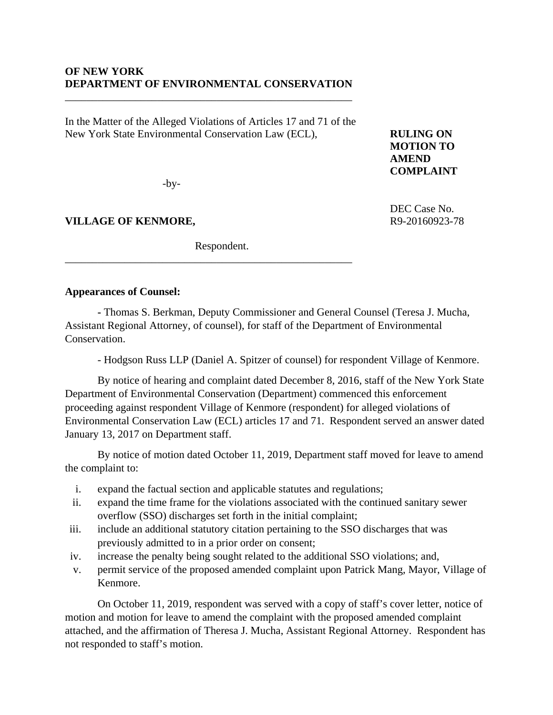## **OF NEW YORK DEPARTMENT OF ENVIRONMENTAL CONSERVATION**

\_\_\_\_\_\_\_\_\_\_\_\_\_\_\_\_\_\_\_\_\_\_\_\_\_\_\_\_\_\_\_\_\_\_\_\_\_\_\_\_\_\_\_\_\_\_\_\_\_\_\_\_\_

In the Matter of the Alleged Violations of Articles 17 and 71 of the New York State Environmental Conservation Law (ECL), **RULING ON** 

**MOTION TO AMEND COMPLAINT** 

DEC Case No.

-by-

**VILLAGE OF KENMORE,** R9-20160923-78

Respondent.

\_\_\_\_\_\_\_\_\_\_\_\_\_\_\_\_\_\_\_\_\_\_\_\_\_\_\_\_\_\_\_\_\_\_\_\_\_\_\_\_\_\_\_\_\_\_\_\_\_\_\_\_\_

## **Appearances of Counsel:**

**-** Thomas S. Berkman, Deputy Commissioner and General Counsel (Teresa J. Mucha, Assistant Regional Attorney, of counsel), for staff of the Department of Environmental Conservation.

- Hodgson Russ LLP (Daniel A. Spitzer of counsel) for respondent Village of Kenmore.

 By notice of hearing and complaint dated December 8, 2016, staff of the New York State Department of Environmental Conservation (Department) commenced this enforcement proceeding against respondent Village of Kenmore (respondent) for alleged violations of Environmental Conservation Law (ECL) articles 17 and 71. Respondent served an answer dated January 13, 2017 on Department staff.

 By notice of motion dated October 11, 2019, Department staff moved for leave to amend the complaint to:

- i. expand the factual section and applicable statutes and regulations;
- ii. expand the time frame for the violations associated with the continued sanitary sewer overflow (SSO) discharges set forth in the initial complaint;
- iii. include an additional statutory citation pertaining to the SSO discharges that was previously admitted to in a prior order on consent;
- iv. increase the penalty being sought related to the additional SSO violations; and,
- v. permit service of the proposed amended complaint upon Patrick Mang, Mayor, Village of Kenmore.

 On October 11, 2019, respondent was served with a copy of staff's cover letter, notice of motion and motion for leave to amend the complaint with the proposed amended complaint attached, and the affirmation of Theresa J. Mucha, Assistant Regional Attorney. Respondent has not responded to staff's motion.